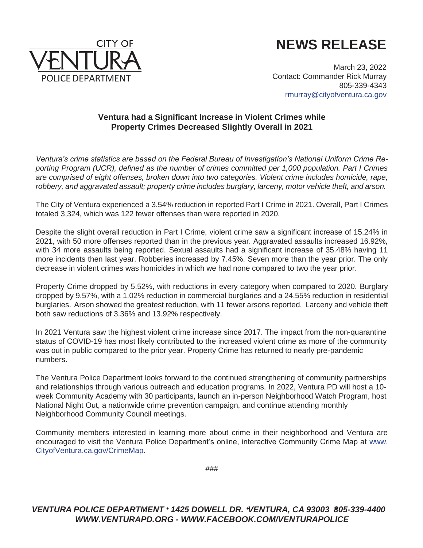

## **NEWS RELEASE**

March 23, 2022 Contact: Commander Rick Murray 805-339-4343 [rmurray@cityofventura.ca.gov](mailto:rmurray@cityofventura.ca.gov)

## **Ventura had a Significant Increase in Violent Crimes while Property Crimes Decreased Slightly Overall in 2021**

*Ventura's crime statistics are based on the Federal Bureau of Investigation's National Uniform Crime Reporting Program (UCR), defined as the number of crimes committed per 1,000 population. Part I Crimes are comprised of eight offenses, broken down into two categories. Violent crime includes homicide, rape, robbery, and aggravated assault; property crime includes burglary, larceny, motor vehicle theft, and arson.*

The City of Ventura experienced a 3.54% reduction in reported Part I Crime in 2021. Overall, Part I Crimes totaled 3,324, which was 122 fewer offenses than were reported in 2020.

Despite the slight overall reduction in Part I Crime, violent crime saw a significant increase of 15.24% in 2021, with 50 more offenses reported than in the previous year. Aggravated assaults increased 16.92%, with 34 more assaults being reported. Sexual assaults had a significant increase of 35.48% having 11 more incidents then last year. Robberies increased by 7.45%. Seven more than the year prior. The only decrease in violent crimes was homicides in which we had none compared to two the year prior.

Property Crime dropped by 5.52%, with reductions in every category when compared to 2020. Burglary dropped by 9.57%, with a 1.02% reduction in commercial burglaries and a 24.55% reduction in residential burglaries. Arson showed the greatest reduction, with 11 fewer arsons reported. Larceny and vehicle theft both saw reductions of 3.36% and 13.92% respectively.

In 2021 Ventura saw the highest violent crime increase since 2017. The impact from the non-quarantine status of COVID-19 has most likely contributed to the increased violent crime as more of the community was out in public compared to the prior year. Property Crime has returned to nearly pre-pandemic numbers.

The Ventura Police Department looks forward to the continued strengthening of community partnerships and relationships through various outreach and education programs. In 2022, Ventura PD will host a 10 week Community Academy with 30 participants, launch an in-person Neighborhood Watch Program, host National Night Out, a nationwide crime prevention campaign, and continue attending monthly Neighborhood Community Council meetings.

Community members interested in learning more about crime in their neighborhood and Ventura are encouraged to visit the Ventura Police Department's online, interactive Community Crime Map at [www.](http://www/) CityofVentura.ca.gov/CrimeMap.

###

## *VENTURA POLICE DEPARTMENT 1425 DOWELL DR. VENTURA, CA 93003 805-339-4400 [WWW.VENTURAPD.ORG](http://www.venturapd.org/) - [WWW.FACEBOOK.COM/VENTURAPOLICE](http://www.facebook.com/VENTURAPOLICE)*